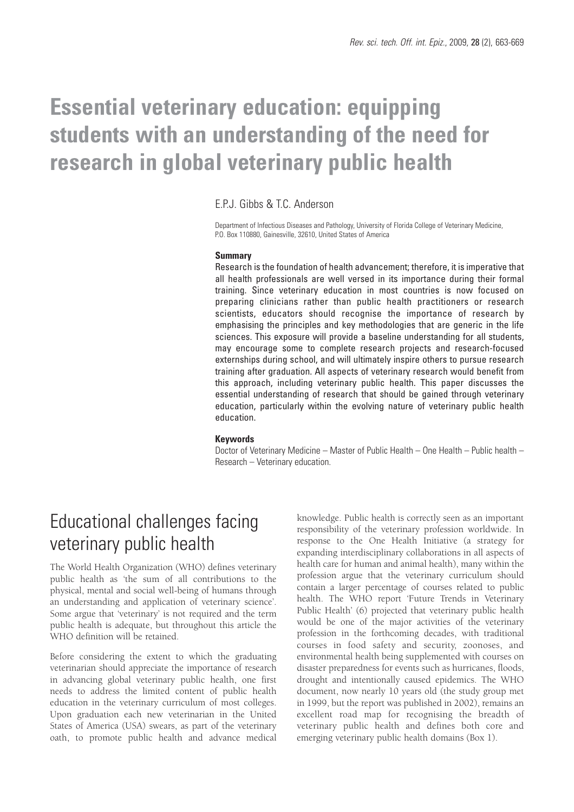# **Essential veterinary education: equipping students with an understanding of the need for research in global veterinary public health**

### E.P.J. Gibbs & T.C. Anderson

Department of Infectious Diseases and Pathology, University of Florida College of Veterinary Medicine, P.O. Box 110880, Gainesville, 32610, United States of America

#### **Summary**

Research is the foundation of health advancement; therefore, it is imperative that all health professionals are well versed in its importance during their formal training. Since veterinary education in most countries is now focused on preparing clinicians rather than public health practitioners or research scientists, educators should recognise the importance of research by emphasising the principles and key methodologies that are generic in the life sciences. This exposure will provide a baseline understanding for all students, may encourage some to complete research projects and research-focused externships during school, and will ultimately inspire others to pursue research training after graduation. All aspects of veterinary research would benefit from this approach, including veterinary public health. This paper discusses the essential understanding of research that should be gained through veterinary education, particularly within the evolving nature of veterinary public health education.

#### **Keywords**

Doctor of Veterinary Medicine – Master of Public Health – One Health – Public health – Research – Veterinary education.

### Educational challenges facing veterinary public health

The World Health Organization (WHO) defines veterinary public health as 'the sum of all contributions to the physical, mental and social well-being of humans through an understanding and application of veterinary science'. Some argue that 'veterinary' is not required and the term public health is adequate, but throughout this article the WHO definition will be retained.

Before considering the extent to which the graduating veterinarian should appreciate the importance of research in advancing global veterinary public health, one first needs to address the limited content of public health education in the veterinary curriculum of most colleges. Upon graduation each new veterinarian in the United States of America (USA) swears, as part of the veterinary oath, to promote public health and advance medical

knowledge. Public health is correctly seen as an important responsibility of the veterinary profession worldwide. In response to the One Health Initiative (a strategy for expanding interdisciplinary collaborations in all aspects of health care for human and animal health), many within the profession argue that the veterinary curriculum should contain a larger percentage of courses related to public health. The WHO report 'Future Trends in Veterinary Public Health' (6) projected that veterinary public health would be one of the major activities of the veterinary profession in the forthcoming decades, with traditional courses in food safety and security, zoonoses, and environmental health being supplemented with courses on disaster preparedness for events such as hurricanes, floods, drought and intentionally caused epidemics. The WHO document, now nearly 10 years old (the study group met in 1999, but the report was published in 2002), remains an excellent road map for recognising the breadth of veterinary public health and defines both core and emerging veterinary public health domains (Box 1).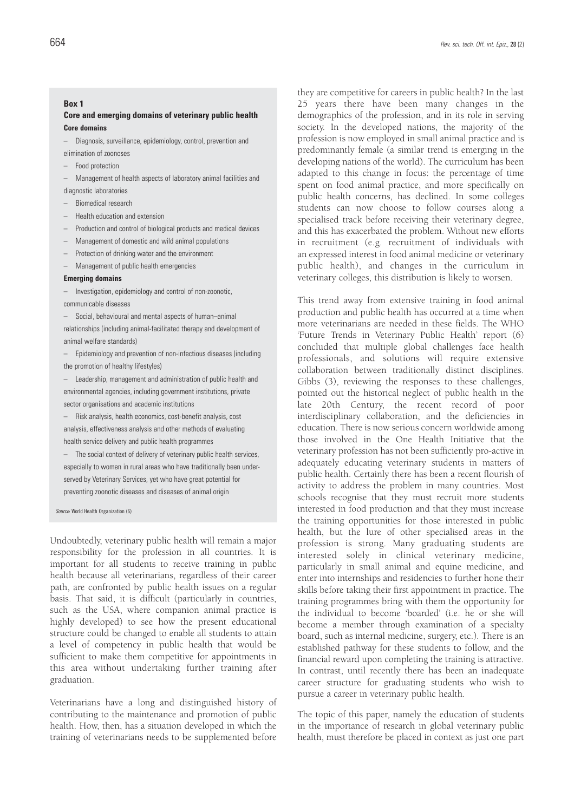#### **Box 1**

#### **Core and emerging domains of veterinary public health Core domains**

- Diagnosis, surveillance, epidemiology, control, prevention and
- elimination of zoonoses
- Food protection
- Management of health aspects of laboratory animal facilities and
- diagnostic laboratories
- Biomedical research
- Health education and extension
- Production and control of biological products and medical devices
- Management of domestic and wild animal populations
- Protection of drinking water and the environment
- Management of public health emergencies

#### **Emerging domains**

- Investigation, epidemiology and control of non-zoonotic,
- communicable diseases
- Social, behavioural and mental aspects of human–animal relationships (including animal-facilitated therapy and development of animal welfare standards)
- Epidemiology and prevention of non-infectious diseases (including the promotion of healthy lifestyles)
- Leadership, management and administration of public health and environmental agencies, including government institutions, private sector organisations and academic institutions
- Risk analysis, health economics, cost-benefit analysis, cost analysis, effectiveness analysis and other methods of evaluating health service delivery and public health programmes
- The social context of delivery of veterinary public health services, especially to women in rural areas who have traditionally been underserved by Veterinary Services, yet who have great potential for preventing zoonotic diseases and diseases of animal origin

*Source*: World Health Organization (6)

Undoubtedly, veterinary public health will remain a major responsibility for the profession in all countries. It is important for all students to receive training in public health because all veterinarians, regardless of their career path, are confronted by public health issues on a regular basis. That said, it is difficult (particularly in countries, such as the USA, where companion animal practice is highly developed) to see how the present educational structure could be changed to enable all students to attain a level of competency in public health that would be sufficient to make them competitive for appointments in this area without undertaking further training after graduation.

Veterinarians have a long and distinguished history of contributing to the maintenance and promotion of public health. How, then, has a situation developed in which the training of veterinarians needs to be supplemented before

they are competitive for careers in public health? In the last 25 years there have been many changes in the demographics of the profession, and in its role in serving society. In the developed nations, the majority of the profession is now employed in small animal practice and is predominantly female (a similar trend is emerging in the developing nations of the world). The curriculum has been adapted to this change in focus: the percentage of time spent on food animal practice, and more specifically on public health concerns, has declined. In some colleges students can now choose to follow courses along a specialised track before receiving their veterinary degree, and this has exacerbated the problem. Without new efforts in recruitment (e.g. recruitment of individuals with an expressed interest in food animal medicine or veterinary public health), and changes in the curriculum in veterinary colleges, this distribution is likely to worsen.

This trend away from extensive training in food animal production and public health has occurred at a time when more veterinarians are needed in these fields. The WHO 'Future Trends in Veterinary Public Health' report (6) concluded that multiple global challenges face health professionals, and solutions will require extensive collaboration between traditionally distinct disciplines. Gibbs (3), reviewing the responses to these challenges, pointed out the historical neglect of public health in the late 20th Century, the recent record of poor interdisciplinary collaboration, and the deficiencies in education. There is now serious concern worldwide among those involved in the One Health Initiative that the veterinary profession has not been sufficiently pro-active in adequately educating veterinary students in matters of public health. Certainly there has been a recent flourish of activity to address the problem in many countries. Most schools recognise that they must recruit more students interested in food production and that they must increase the training opportunities for those interested in public health, but the lure of other specialised areas in the profession is strong. Many graduating students are interested solely in clinical veterinary medicine, particularly in small animal and equine medicine, and enter into internships and residencies to further hone their skills before taking their first appointment in practice. The training programmes bring with them the opportunity for the individual to become 'boarded' (i.e. he or she will become a member through examination of a specialty board, such as internal medicine, surgery, etc.). There is an established pathway for these students to follow, and the financial reward upon completing the training is attractive. In contrast, until recently there has been an inadequate career structure for graduating students who wish to pursue a career in veterinary public health.

The topic of this paper, namely the education of students in the importance of research in global veterinary public health, must therefore be placed in context as just one part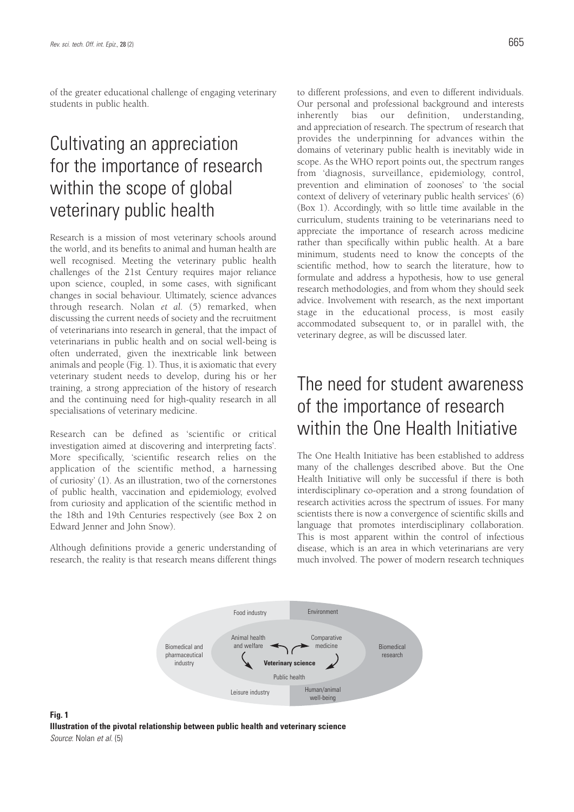of the greater educational challenge of engaging veterinary students in public health.

## Cultivating an appreciation for the importance of research within the scope of global veterinary public health

Research is a mission of most veterinary schools around the world, and its benefits to animal and human health are well recognised. Meeting the veterinary public health challenges of the 21st Century requires major reliance upon science, coupled, in some cases, with significant changes in social behaviour. Ultimately, science advances through research. Nolan *et al.* (5) remarked, when discussing the current needs of society and the recruitment of veterinarians into research in general, that the impact of veterinarians in public health and on social well-being is often underrated, given the inextricable link between animals and people (Fig. 1). Thus, it is axiomatic that every veterinary student needs to develop, during his or her training, a strong appreciation of the history of research and the continuing need for high-quality research in all specialisations of veterinary medicine.

Research can be defined as 'scientific or critical investigation aimed at discovering and interpreting facts'. More specifically, 'scientific research relies on the application of the scientific method, a harnessing of curiosity' (1). As an illustration, two of the cornerstones of public health, vaccination and epidemiology, evolved from curiosity and application of the scientific method in the 18th and 19th Centuries respectively (see Box 2 on Edward Jenner and John Snow).

Although definitions provide a generic understanding of research, the reality is that research means different things

**Fig. 1**

to different professions, and even to different individuals. Our personal and professional background and interests inherently bias our definition, understanding, and appreciation of research. The spectrum of research that provides the underpinning for advances within the domains of veterinary public health is inevitably wide in scope. As the WHO report points out, the spectrum ranges from 'diagnosis, surveillance, epidemiology, control, prevention and elimination of zoonoses' to 'the social context of delivery of veterinary public health services' (6) (Box 1). Accordingly, with so little time available in the curriculum, students training to be veterinarians need to appreciate the importance of research across medicine rather than specifically within public health. At a bare minimum, students need to know the concepts of the scientific method, how to search the literature, how to formulate and address a hypothesis, how to use general research methodologies, and from whom they should seek advice. Involvement with research, as the next important stage in the educational process, is most easily accommodated subsequent to, or in parallel with, the veterinary degree, as will be discussed later.

### The need for student awareness of the importance of research within the One Health Initiative

The One Health Initiative has been established to address many of the challenges described above. But the One Health Initiative will only be successful if there is both interdisciplinary co-operation and a strong foundation of research activities across the spectrum of issues. For many scientists there is now a convergence of scientific skills and language that promotes interdisciplinary collaboration. This is most apparent within the control of infectious disease, which is an area in which veterinarians are very much involved. The power of modern research techniques

Biomedical



Food industry

Animal health and welfare

Biomedical and medicine and welfare **starting the medicine** 

**Comparative** 

Environment

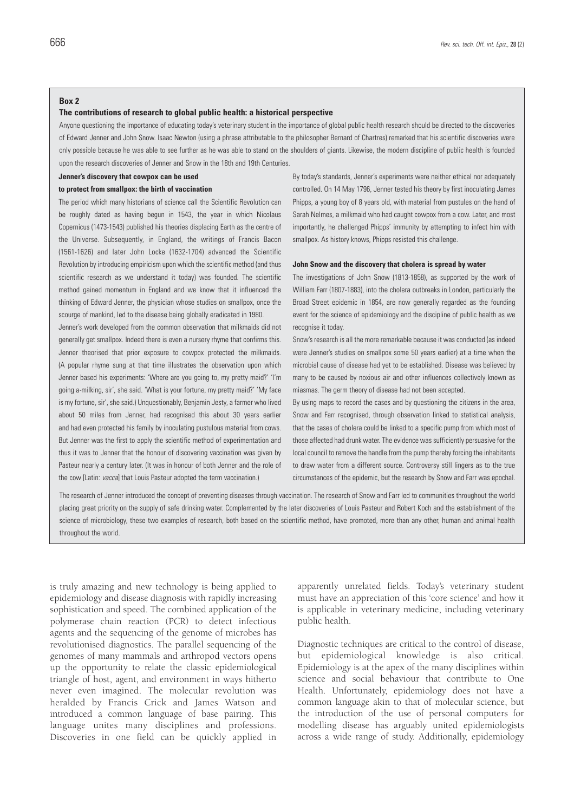#### **Box 2**

#### **The contributions of research to global public health: a historical perspective**

Anyone questioning the importance of educating today's veterinary student in the importance of global public health research should be directed to the discoveries of Edward Jenner and John Snow. Isaac Newton (using a phrase attributable to the philosopher Bernard of Chartres) remarked that his scientific discoveries were only possible because he was able to see further as he was able to stand on the shoulders of giants. Likewise, the modern discipline of public health is founded upon the research discoveries of Jenner and Snow in the 18th and 19th Centuries.

#### **Jenner's discovery that cowpox can be used**

#### **to protect from smallpox: the birth of vaccination**

The period which many historians of science call the Scientific Revolution can be roughly dated as having begun in 1543, the year in which Nicolaus Copernicus (1473-1543) published his theories displacing Earth as the centre of the Universe. Subsequently, in England, the writings of Francis Bacon (1561-1626) and later John Locke (1632-1704) advanced the Scientific Revolution by introducing empiricism upon which the scientific method (and thus scientific research as we understand it today) was founded. The scientific method gained momentum in England and we know that it influenced the thinking of Edward Jenner, the physician whose studies on smallpox, once the scourge of mankind, led to the disease being globally eradicated in 1980.

Jenner's work developed from the common observation that milkmaids did not generally get smallpox. Indeed there is even a nursery rhyme that confirms this. Jenner theorised that prior exposure to cowpox protected the milkmaids. (A popular rhyme sung at that time illustrates the observation upon which Jenner based his experiments: 'Where are you going to, my pretty maid?' 'I'm going a-milking, sir', she said. 'What is your fortune, my pretty maid?' 'My face is my fortune, sir', she said.) Unquestionably, Benjamin Jesty, a farmer who lived about 50 miles from Jenner, had recognised this about 30 years earlier and had even protected his family by inoculating pustulous material from cows. But Jenner was the first to apply the scientific method of experimentation and thus it was to Jenner that the honour of discovering vaccination was given by Pasteur nearly a century later. (It was in honour of both Jenner and the role of the cow [Latin: *vacca*] that Louis Pasteur adopted the term vaccination.)

By today's standards, Jenner's experiments were neither ethical nor adequately controlled. On 14 May 1796, Jenner tested his theory by first inoculating James Phipps, a young boy of 8 years old, with material from pustules on the hand of Sarah Nelmes, a milkmaid who had caught cowpox from a cow. Later, and most importantly, he challenged Phipps' immunity by attempting to infect him with smallpox. As history knows, Phipps resisted this challenge.

#### **John Snow and the discovery that cholera is spread by water**

The investigations of John Snow (1813-1858), as supported by the work of William Farr (1807-1883), into the cholera outbreaks in London, particularly the Broad Street epidemic in 1854, are now generally regarded as the founding event for the science of epidemiology and the discipline of public health as we recognise it today.

Snow's research is all the more remarkable because it was conducted (as indeed were Jenner's studies on smallpox some 50 years earlier) at a time when the microbial cause of disease had yet to be established. Disease was believed by many to be caused by noxious air and other influences collectively known as miasmas. The germ theory of disease had not been accepted.

By using maps to record the cases and by questioning the citizens in the area, Snow and Farr recognised, through observation linked to statistical analysis, that the cases of cholera could be linked to a specific pump from which most of those affected had drunk water. The evidence was sufficiently persuasive for the local council to remove the handle from the pump thereby forcing the inhabitants to draw water from a different source. Controversy still lingers as to the true circumstances of the epidemic, but the research by Snow and Farr was epochal.

The research of Jenner introduced the concept of preventing diseases through vaccination. The research of Snow and Farr led to communities throughout the world placing great priority on the supply of safe drinking water. Complemented by the later discoveries of Louis Pasteur and Robert Koch and the establishment of the science of microbiology, these two examples of research, both based on the scientific method, have promoted, more than any other, human and animal health throughout the world.

is truly amazing and new technology is being applied to epidemiology and disease diagnosis with rapidly increasing sophistication and speed. The combined application of the polymerase chain reaction (PCR) to detect infectious agents and the sequencing of the genome of microbes has revolutionised diagnostics. The parallel sequencing of the genomes of many mammals and arthropod vectors opens up the opportunity to relate the classic epidemiological triangle of host, agent, and environment in ways hitherto never even imagined. The molecular revolution was heralded by Francis Crick and James Watson and introduced a common language of base pairing. This language unites many disciplines and professions. Discoveries in one field can be quickly applied in

apparently unrelated fields. Today's veterinary student must have an appreciation of this 'core science' and how it is applicable in veterinary medicine, including veterinary public health.

Diagnostic techniques are critical to the control of disease, but epidemiological knowledge is also critical. Epidemiology is at the apex of the many disciplines within science and social behaviour that contribute to One Health. Unfortunately, epidemiology does not have a common language akin to that of molecular science, but the introduction of the use of personal computers for modelling disease has arguably united epidemiologists across a wide range of study. Additionally, epidemiology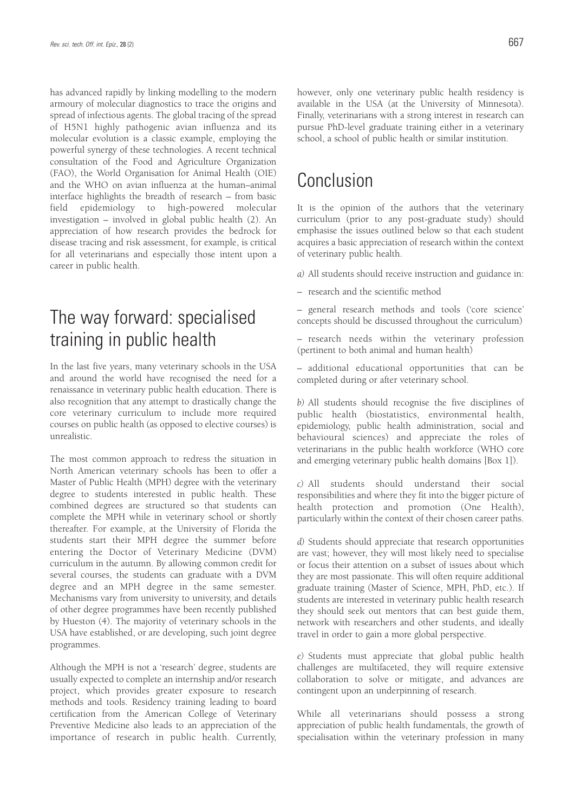has advanced rapidly by linking modelling to the modern armoury of molecular diagnostics to trace the origins and spread of infectious agents. The global tracing of the spread of H5N1 highly pathogenic avian influenza and its molecular evolution is a classic example, employing the powerful synergy of these technologies. A recent technical consultation of the Food and Agriculture Organization (FAO), the World Organisation for Animal Health (OIE) and the WHO on avian influenza at the human–animal interface highlights the breadth of research – from basic field epidemiology to high-powered molecular investigation – involved in global public health (2). An appreciation of how research provides the bedrock for disease tracing and risk assessment, for example, is critical for all veterinarians and especially those intent upon a career in public health.

### The way forward: specialised training in public health

In the last five years, many veterinary schools in the USA and around the world have recognised the need for a renaissance in veterinary public health education. There is also recognition that any attempt to drastically change the core veterinary curriculum to include more required courses on public health (as opposed to elective courses) is unrealistic.

The most common approach to redress the situation in North American veterinary schools has been to offer a Master of Public Health (MPH) degree with the veterinary degree to students interested in public health. These combined degrees are structured so that students can complete the MPH while in veterinary school or shortly thereafter. For example, at the University of Florida the students start their MPH degree the summer before entering the Doctor of Veterinary Medicine (DVM) curriculum in the autumn. By allowing common credit for several courses, the students can graduate with a DVM degree and an MPH degree in the same semester. Mechanisms vary from university to university, and details of other degree programmes have been recently published by Hueston (4). The majority of veterinary schools in the USA have established, or are developing, such joint degree programmes.

Although the MPH is not a 'research' degree, students are usually expected to complete an internship and/or research project, which provides greater exposure to research methods and tools. Residency training leading to board certification from the American College of Veterinary Preventive Medicine also leads to an appreciation of the importance of research in public health. Currently, however, only one veterinary public health residency is available in the USA (at the University of Minnesota). Finally, veterinarians with a strong interest in research can pursue PhD-level graduate training either in a veterinary school, a school of public health or similar institution.

### Conclusion

It is the opinion of the authors that the veterinary curriculum (prior to any post-graduate study) should emphasise the issues outlined below so that each student acquires a basic appreciation of research within the context of veterinary public health.

*a)* All students should receive instruction and guidance in:

– research and the scientific method

– general research methods and tools ('core science' concepts should be discussed throughout the curriculum)

– research needs within the veterinary profession (pertinent to both animal and human health)

– additional educational opportunities that can be completed during or after veterinary school.

*b)* All students should recognise the five disciplines of public health (biostatistics, environmental health, epidemiology, public health administration, social and behavioural sciences) and appreciate the roles of veterinarians in the public health workforce (WHO core and emerging veterinary public health domains [Box 1]).

*c)* All students should understand their social responsibilities and where they fit into the bigger picture of health protection and promotion (One Health), particularly within the context of their chosen career paths.

*d)* Students should appreciate that research opportunities are vast; however, they will most likely need to specialise or focus their attention on a subset of issues about which they are most passionate. This will often require additional graduate training (Master of Science, MPH, PhD, etc.). If students are interested in veterinary public health research they should seek out mentors that can best guide them, network with researchers and other students, and ideally travel in order to gain a more global perspective.

*e)* Students must appreciate that global public health challenges are multifaceted, they will require extensive collaboration to solve or mitigate, and advances are contingent upon an underpinning of research.

While all veterinarians should possess a strong appreciation of public health fundamentals, the growth of specialisation within the veterinary profession in many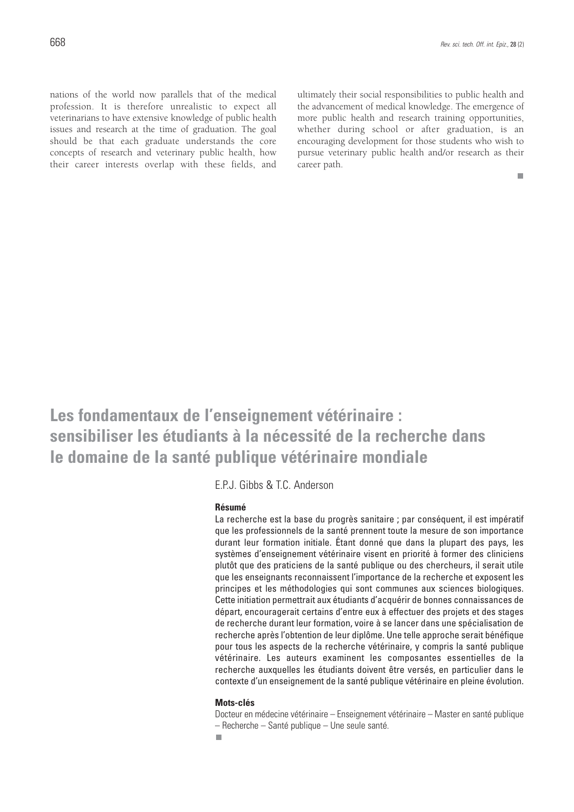nations of the world now parallels that of the medical profession. It is therefore unrealistic to expect all veterinarians to have extensive knowledge of public health issues and research at the time of graduation. The goal should be that each graduate understands the core concepts of research and veterinary public health, how their career interests overlap with these fields, and

ultimately their social responsibilities to public health and the advancement of medical knowledge. The emergence of more public health and research training opportunities, whether during school or after graduation, is an encouraging development for those students who wish to pursue veterinary public health and/or research as their career path.

 $\Box$ 

**Les fondamentaux de l'enseignement vétérinaire : sensibiliser les étudiants à la nécessité de la recherche dans le domaine de la santé publique vétérinaire mondiale**

E.P.J. Gibbs & T.C. Anderson

#### **Résumé**

La recherche est la base du progrès sanitaire ; par conséquent, il est impératif que les professionnels de la santé prennent toute la mesure de son importance durant leur formation initiale. Étant donné que dans la plupart des pays, les systèmes d'enseignement vétérinaire visent en priorité à former des cliniciens plutôt que des praticiens de la santé publique ou des chercheurs, il serait utile que les enseignants reconnaissent l'importance de la recherche et exposent les principes et les méthodologies qui sont communes aux sciences biologiques. Cette initiation permettrait aux étudiants d'acquérir de bonnes connaissances de départ, encouragerait certains d'entre eux à effectuer des projets et des stages de recherche durant leur formation, voire à se lancer dans une spécialisation de recherche après l'obtention de leur diplôme. Une telle approche serait bénéfique pour tous les aspects de la recherche vétérinaire, y compris la santé publique vétérinaire. Les auteurs examinent les composantes essentielles de la recherche auxquelles les étudiants doivent être versés, en particulier dans le contexte d'un enseignement de la santé publique vétérinaire en pleine évolution.

#### **Mots-clés**

Docteur en médecine vétérinaire – Enseignement vétérinaire – Master en santé publique – Recherche – Santé publique – Une seule santé.

п